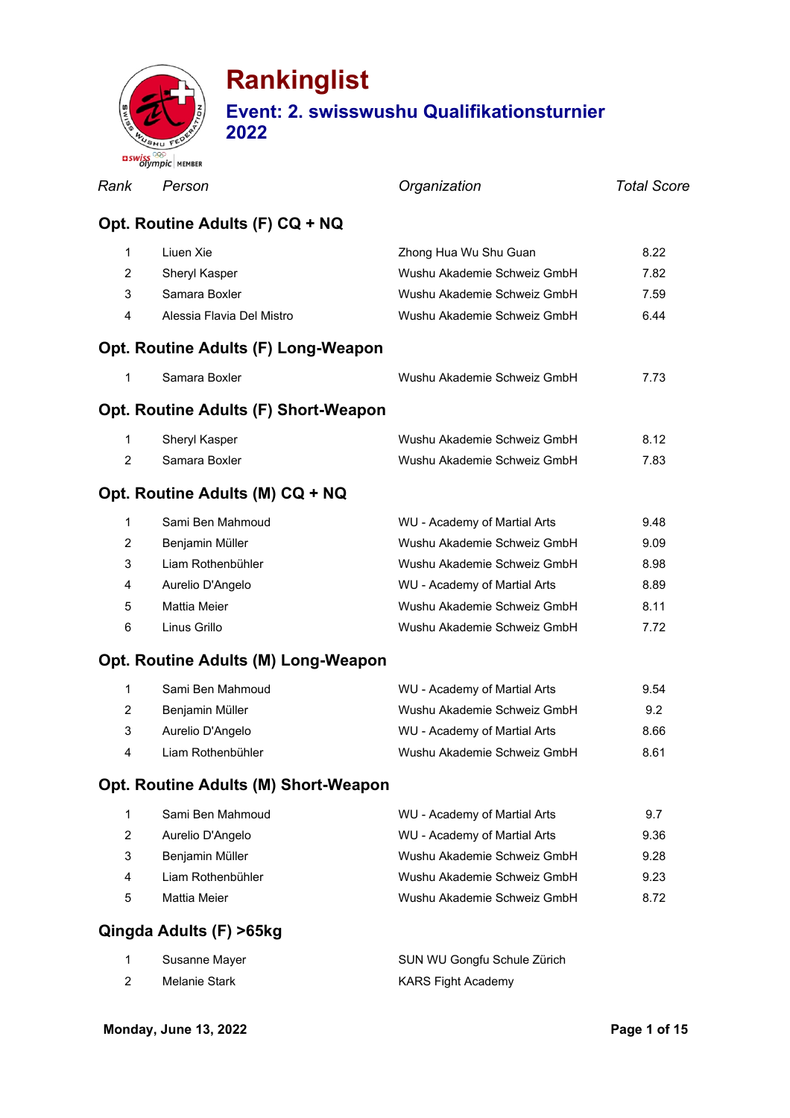

| Rank | Person                               | Organization                                    | <b>Total Score</b> |
|------|--------------------------------------|-------------------------------------------------|--------------------|
|      | Opt. Routine Adults (F) CQ + NQ      |                                                 |                    |
| 1    | Liuen Xie                            | Zhong Hua Wu Shu Guan                           | 8.22               |
| 2    | Sheryl Kasper                        | Wushu Akademie Schweiz GmbH                     | 7.82               |
| 3    | Samara Boxler                        | Wushu Akademie Schweiz GmbH                     | 7.59               |
| 4    | Alessia Flavia Del Mistro            | Wushu Akademie Schweiz GmbH                     | 6.44               |
|      | Opt. Routine Adults (F) Long-Weapon  |                                                 |                    |
| 1    | Samara Boxler                        | Wushu Akademie Schweiz GmbH                     | 7.73               |
|      | Opt. Routine Adults (F) Short-Weapon |                                                 |                    |
| 1    | Sheryl Kasper                        | Wushu Akademie Schweiz GmbH                     | 8.12               |
| 2    | Samara Boxler                        | Wushu Akademie Schweiz GmbH                     | 7.83               |
|      | Opt. Routine Adults (M) CQ + NQ      |                                                 |                    |
| 1    | Sami Ben Mahmoud                     | WU - Academy of Martial Arts                    | 9.48               |
| 2    | Benjamin Müller                      | Wushu Akademie Schweiz GmbH                     | 9.09               |
| 3    | Liam Rothenbühler                    | Wushu Akademie Schweiz GmbH                     | 8.98               |
| 4    | Aurelio D'Angelo                     | WU - Academy of Martial Arts                    | 8.89               |
| 5    | <b>Mattia Meier</b>                  | Wushu Akademie Schweiz GmbH                     | 8.11               |
| 6    | Linus Grillo                         | Wushu Akademie Schweiz GmbH                     | 7.72               |
|      | Opt. Routine Adults (M) Long-Weapon  |                                                 |                    |
|      | 1 Cami Dan Mahmaud                   | $1011 - 0$ and a music function $0 \text{ m/s}$ | $\cap$ $F_A$       |

|          | Sami Ben Mahmoud  | WU - Academy of Martial Arts | 9.54 |
|----------|-------------------|------------------------------|------|
| 2        | Benjamin Müller   | Wushu Akademie Schweiz GmbH  | 9.2  |
| 3        | Aurelio D'Angelo  | WU - Academy of Martial Arts | 8.66 |
| $\Delta$ | Liam Rothenbühler | Wushu Akademie Schweiz GmbH  | 8.61 |

### **Opt. Routine Adults (M) Short-Weapon**

|   | Sami Ben Mahmoud  | WU - Academy of Martial Arts | 9.7  |
|---|-------------------|------------------------------|------|
|   | Aurelio D'Angelo  | WU - Academy of Martial Arts | 9.36 |
|   | Benjamin Müller   | Wushu Akademie Schweiz GmbH  | 9.28 |
| 4 | Liam Rothenbühler | Wushu Akademie Schweiz GmbH  | 9.23 |
| 5 | Mattia Meier      | Wushu Akademie Schweiz GmbH  | 8.72 |
|   |                   |                              |      |

### **Qingda Adults (F) >65kg**

|   | Susanne Mayer | SUN WU Gongfu Schule Zürich |
|---|---------------|-----------------------------|
| 2 | Melanie Stark | KARS Fight Academy          |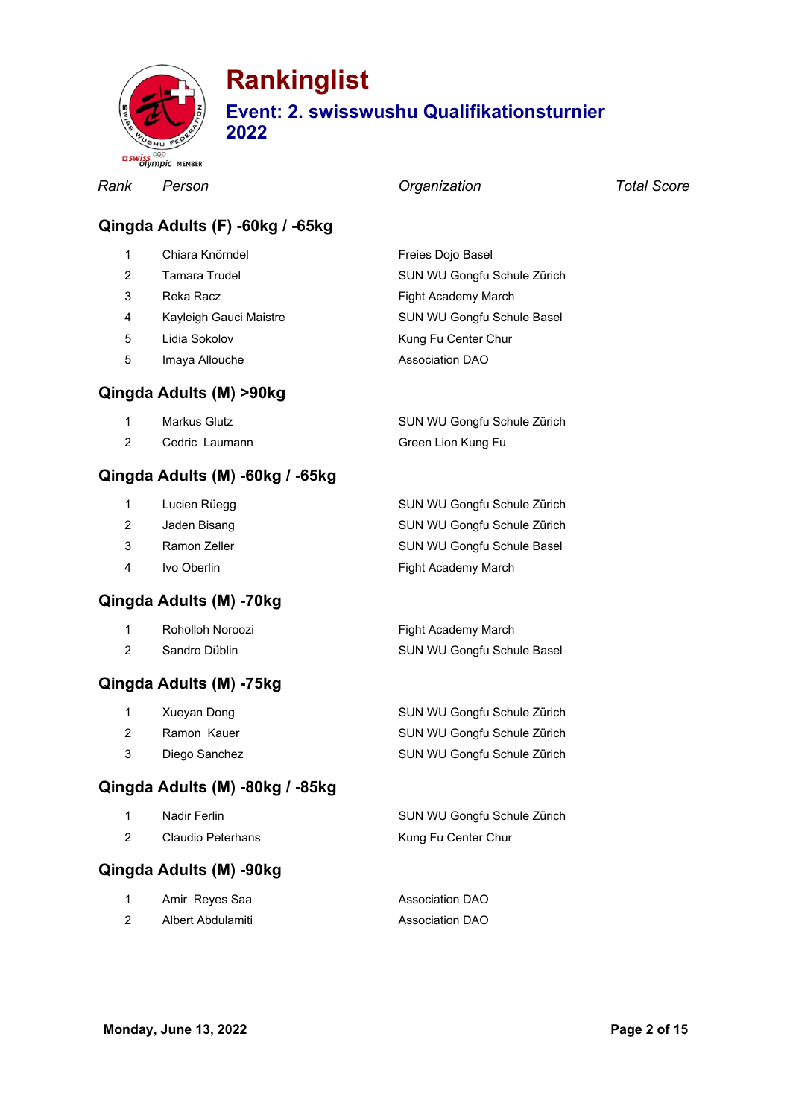

*Rank Person Organization Total Score*

#### **Qingda Adults (F) -60kg / -65kg**

|    | Chiara Knörndel        | Freies Dojo Basel           |
|----|------------------------|-----------------------------|
|    | Tamara Trudel          | SUN WU Gongfu Schule Zürich |
| 3  | Reka Racz              | Fight Academy March         |
| 4  | Kayleigh Gauci Maistre | SUN WU Gongfu Schule Basel  |
| 5. | Lidia Sokolov          | Kung Fu Center Chur         |
| 5  | Imaya Allouche         | <b>Association DAO</b>      |

#### **Qingda Adults (M) >90kg**

| Markus Glutz   | SUN WU Gongfu Schule Zürich |
|----------------|-----------------------------|
| Cedric Laumann | Green Lion Kung Fu          |

#### **Qingda Adults (M) -60kg / -65kg**

|                | Lucien Rüegg | SUN WU Gongfu Schule Zürich |
|----------------|--------------|-----------------------------|
| 2              | Jaden Bisang | SUN WU Gongfu Schule Zürich |
| 3              | Ramon Zeller | SUN WU Gongfu Schule Basel  |
| $\overline{4}$ | Ivo Oberlin  | Fight Academy March         |
|                |              |                             |

#### **Qingda Adults (M) -70kg**

| Roholloh Noroozi | Fight Academy March        |
|------------------|----------------------------|
| Sandro Düblin    | SUN WU Gongfu Schule Basel |

#### **Qingda Adults (M) -75kg**

| $\mathbf{1}$  | Xueyan Dong   | SUN WU Gongfu Schule Zürich |
|---------------|---------------|-----------------------------|
| $\mathcal{P}$ | Ramon Kauer   | SUN WU Gongfu Schule Zürich |
| 3             | Diego Sanchez | SUN WU Gongfu Schule Zürich |

#### **Qingda Adults (M) -80kg / -85kg**

| Nadir Ferlin      | SUN WU Gongfu Schule Zürich |
|-------------------|-----------------------------|
| Claudio Peterhans | Kung Fu Center Chur         |

### **Qingda Adults (M) -90kg**

| Amir Reyes Saa    | <b>Association DAO</b> |
|-------------------|------------------------|
| Albert Abdulamiti | <b>Association DAO</b> |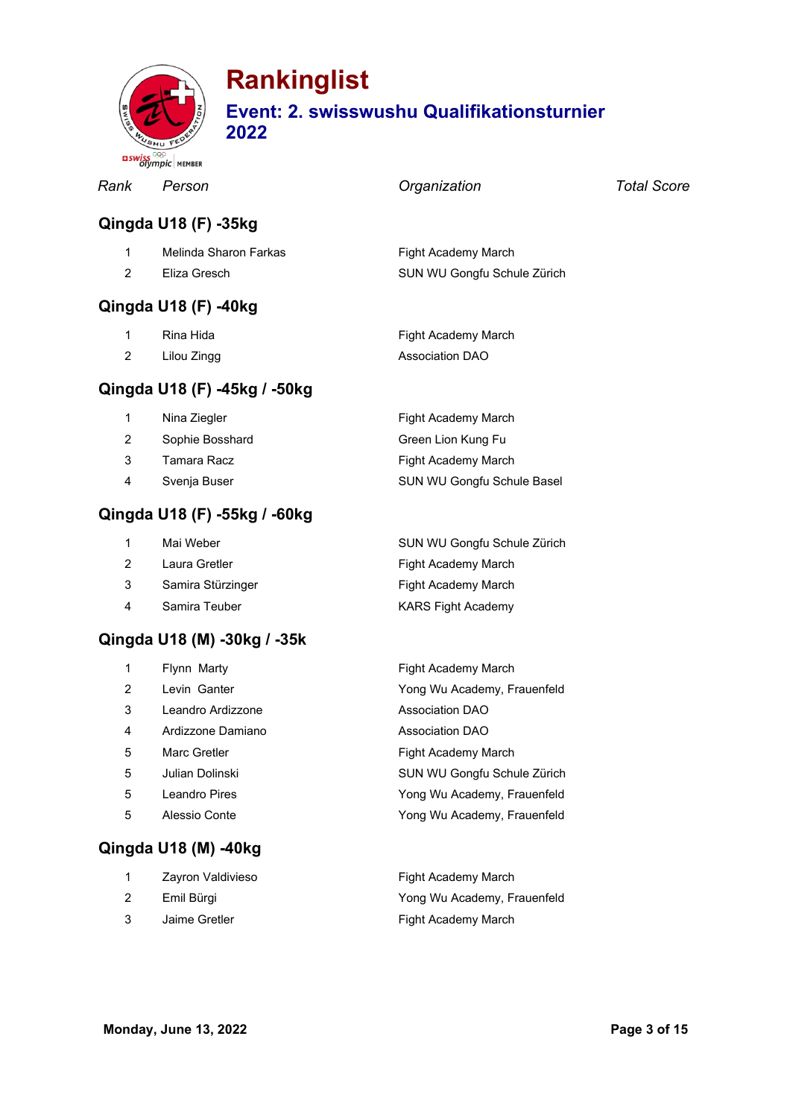

# **Rankinglist**

### **Event: 2. swisswushu Qualifikationsturnier**

**2022**

|                | <b>BISWISSIMORE MEMBER</b>   |                             |             |
|----------------|------------------------------|-----------------------------|-------------|
| Rank           | Person                       | Organization                | Total Score |
|                | Qingda U18 (F) -35kg         |                             |             |
| 1              | Melinda Sharon Farkas        | Fight Academy March         |             |
| $\overline{2}$ | Eliza Gresch                 | SUN WU Gongfu Schule Zürich |             |
|                | Qingda U18 (F) -40kg         |                             |             |
| 1              | Rina Hida                    | Fight Academy March         |             |
| $\overline{2}$ | Lilou Zingg                  | <b>Association DAO</b>      |             |
|                | Qingda U18 (F) -45kg / -50kg |                             |             |
| 1              | Nina Ziegler                 | Fight Academy March         |             |
| $\overline{2}$ | Sophie Bosshard              | Green Lion Kung Fu          |             |
| 3              | Tamara Racz                  | Fight Academy March         |             |
| 4              | Svenja Buser                 | SUN WU Gongfu Schule Basel  |             |

#### **Qingda U18 (F) -55kg / -60kg**

| $\mathbf{1}$   | Mai Weber         | SUN WU Gongfu Schule Zürich |
|----------------|-------------------|-----------------------------|
| 2              | Laura Gretler     | Fight Academy March         |
| 3              | Samira Stürzinger | Fight Academy March         |
| $\overline{4}$ | Samira Teuber     | <b>KARS Fight Academy</b>   |

#### **Qingda U18 (M) -30kg / -35k**

| 1 | Flynn Marty       | Fight Academy March         |
|---|-------------------|-----------------------------|
| 2 | Levin Ganter      | Yong Wu Academy, Frauenfeld |
| 3 | Leandro Ardizzone | <b>Association DAO</b>      |
| 4 | Ardizzone Damiano | <b>Association DAO</b>      |
| 5 | Marc Gretler      | Fight Academy March         |
| 5 | Julian Dolinski   | SUN WU Gongfu Schule Zürich |
| 5 | Leandro Pires     | Yong Wu Academy, Frauenfeld |
| 5 | Alessio Conte     | Yong Wu Academy, Frauenfeld |
|   |                   |                             |

|   | Zayron Valdivieso | Fight Academy March         |
|---|-------------------|-----------------------------|
| 2 | Emil Bürgi        | Yong Wu Academy, Frauenfeld |
|   | Jaime Gretler     | Fight Academy March         |

**Qingda U18 (M) -40kg**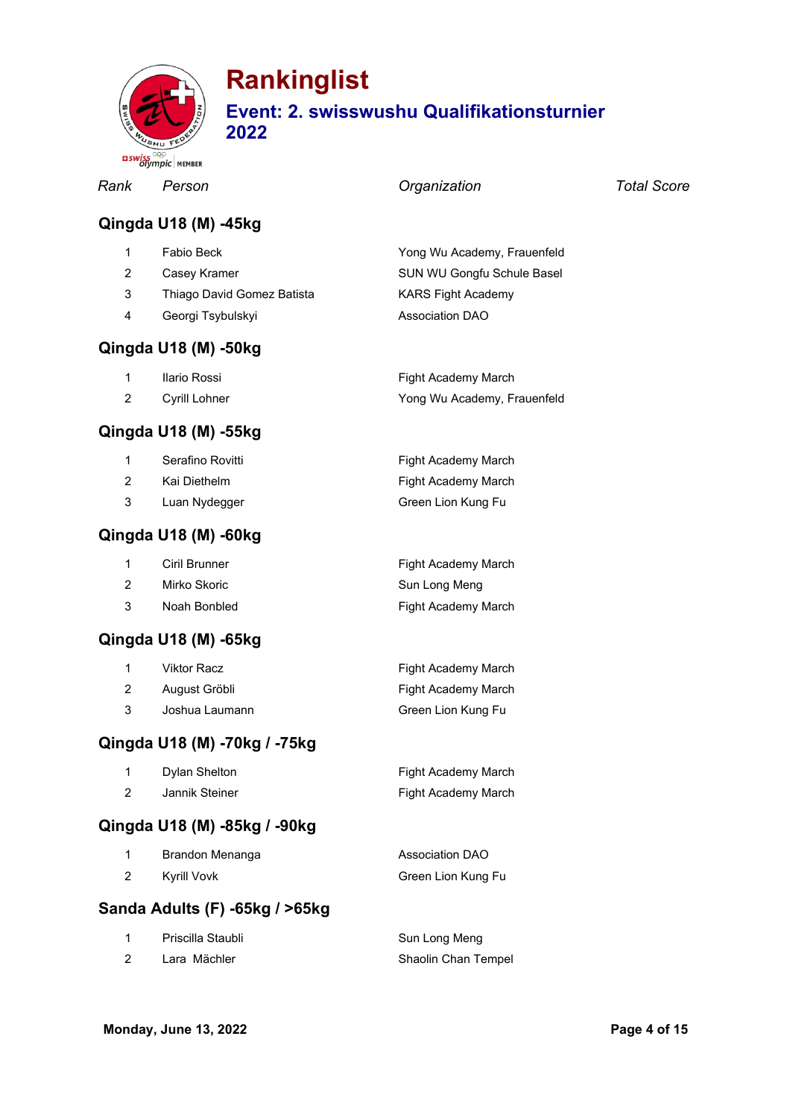

|                         | <b>BSWISS</b> Olympic MEMBER |                             |                    |
|-------------------------|------------------------------|-----------------------------|--------------------|
| Rank                    | Person                       | Organization                | <b>Total Score</b> |
|                         | Qingda U18 (M) -45kg         |                             |                    |
| 1                       | Fabio Beck                   | Yong Wu Academy, Frauenfeld |                    |
| $\overline{2}$          | Casey Kramer                 | SUN WU Gongfu Schule Basel  |                    |
| 3                       | Thiago David Gomez Batista   | <b>KARS Fight Academy</b>   |                    |
| $\overline{\mathbf{4}}$ | Georgi Tsybulskyi            | <b>Association DAO</b>      |                    |
|                         | Qingda U18 (M) -50kg         |                             |                    |
| 1                       | Ilario Rossi                 | Fight Academy March         |                    |
| $\overline{2}$          | Cyrill Lohner                | Yong Wu Academy, Frauenfeld |                    |
|                         | Qingda U18 (M) -55kg         |                             |                    |
| 1                       | Serafino Rovitti             | Fight Academy March         |                    |
| $\overline{2}$          | Kai Diethelm                 | Fight Academy March         |                    |
| 3                       | Luan Nydegger                | Green Lion Kung Fu          |                    |
|                         | Qingda U18 (M) -60kg         |                             |                    |
| 1                       | Ciril Brunner                | Fight Academy March         |                    |
| $\overline{2}$          | Mirko Skoric                 | Sun Long Meng               |                    |
| 3                       | Noah Bonbled                 | Fight Academy March         |                    |
|                         | Qingda U18 (M) -65kg         |                             |                    |
| 1                       | <b>Viktor Racz</b>           | Fight Academy March         |                    |
| $\overline{c}$          | August Gröbli                | Fight Academy March         |                    |
| 3                       | Joshua Laumann               | Green Lion Kung Fu          |                    |
|                         | Qingda U18 (M) -70kg / -75kg |                             |                    |
| 1                       | Dylan Shelton                | Fight Academy March         |                    |
| $\overline{2}$          | Jannik Steiner               | Fight Academy March         |                    |

### **Qingda U18 (M) -85kg / -90kg**

|   | Brandon Menanga | Association DAO    |
|---|-----------------|--------------------|
| 2 | Kyrill Vovk     | Green Lion Kung Fu |

### **Sanda Adults (F) -65kg / >65kg**

| Priscilla Staubli | Sun Long Meng       |
|-------------------|---------------------|
| Lara Mächler      | Shaolin Chan Tempel |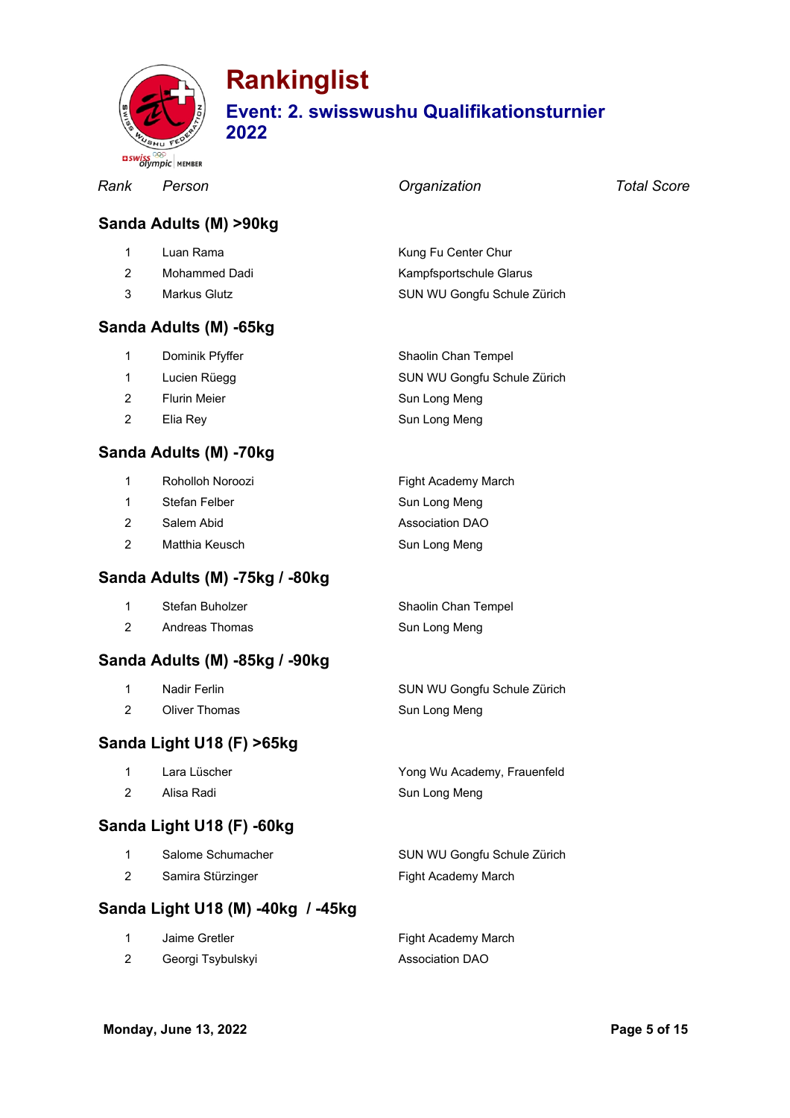

|                | <b>BSWISS</b><br>Olympic   MEMBER |                             |                    |
|----------------|-----------------------------------|-----------------------------|--------------------|
| Rank           | Person                            | Organization                | <b>Total Score</b> |
|                | Sanda Adults (M) >90kg            |                             |                    |
| 1              | Luan Rama                         | Kung Fu Center Chur         |                    |
| $\overline{2}$ | <b>Mohammed Dadi</b>              | Kampfsportschule Glarus     |                    |
| 3              | <b>Markus Glutz</b>               | SUN WU Gongfu Schule Zürich |                    |
|                | Sanda Adults (M) -65kg            |                             |                    |
| 1              | Dominik Pfyffer                   | Shaolin Chan Tempel         |                    |
| 1              | Lucien Rüegg                      | SUN WU Gongfu Schule Zürich |                    |
| $\overline{2}$ | <b>Flurin Meier</b>               | Sun Long Meng               |                    |
| 2              | Elia Rey                          | Sun Long Meng               |                    |
|                | Sanda Adults (M) -70kg            |                             |                    |
| 1              | Roholloh Noroozi                  | Fight Academy March         |                    |
| 1              | Stefan Felber                     | Sun Long Meng               |                    |
| $\overline{2}$ | Salem Abid                        | Association DAO             |                    |
| 2              | Matthia Keusch                    | Sun Long Meng               |                    |
|                | Sanda Adults (M) -75kg / -80kg    |                             |                    |
| 1              | Stefan Buholzer                   | Shaolin Chan Tempel         |                    |
| $\overline{2}$ | <b>Andreas Thomas</b>             | Sun Long Meng               |                    |
|                | Sanda Adults (M) -85kg / -90kg    |                             |                    |
| 1              | <b>Nadir Ferlin</b>               | SUN WU Gongfu Schule Zürich |                    |
| $\overline{2}$ | <b>Oliver Thomas</b>              | Sun Long Meng               |                    |
|                | Sanda Light U18 (F) >65kg         |                             |                    |
| 1              | Lara Lüscher                      | Yong Wu Academy, Frauenfeld |                    |
| $\overline{2}$ | Alisa Radi                        | Sun Long Meng               |                    |
|                | Sanda Light U18 (F) -60kg         |                             |                    |
| 1              | Salome Schumacher                 | SUN WU Gongfu Schule Zürich |                    |
| $\overline{2}$ | Samira Stürzinger                 | Fight Academy March         |                    |
|                | Sanda Light U18 (M) -40kg / -45kg |                             |                    |
| 1              | Jaime Gretler                     | Fight Academy March         |                    |
| $\overline{c}$ | Georgi Tsybulskyi                 | <b>Association DAO</b>      |                    |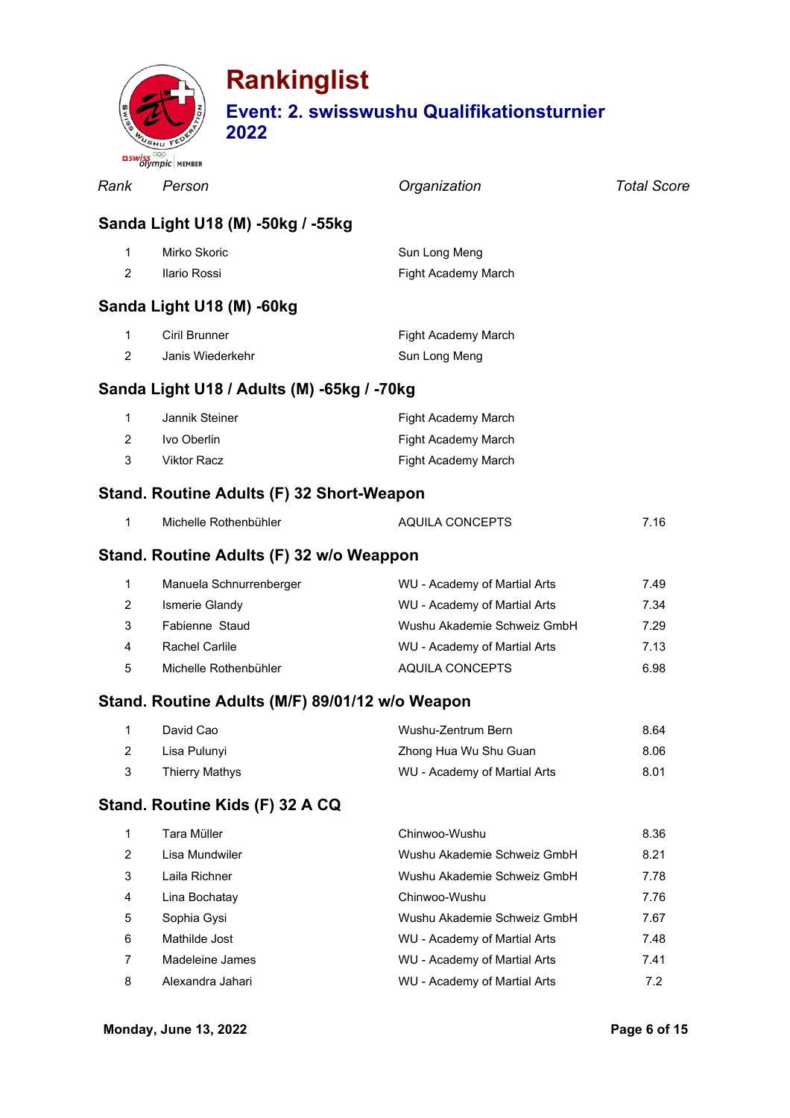

|                | Olympic   MEMBER                                |                              |                    |
|----------------|-------------------------------------------------|------------------------------|--------------------|
| Rank           | Person                                          | Organization                 | <b>Total Score</b> |
|                | Sanda Light U18 (M) -50kg / -55kg               |                              |                    |
| $\mathbf 1$    | Mirko Skoric                                    | Sun Long Meng                |                    |
| $\overline{2}$ | Ilario Rossi                                    | Fight Academy March          |                    |
|                | Sanda Light U18 (M) -60kg                       |                              |                    |
| 1              | Ciril Brunner                                   | Fight Academy March          |                    |
| $\overline{2}$ | Janis Wiederkehr                                | Sun Long Meng                |                    |
|                | Sanda Light U18 / Adults (M) -65kg / -70kg      |                              |                    |
| 1              | Jannik Steiner                                  | Fight Academy March          |                    |
| $\overline{2}$ | Ivo Oberlin                                     | Fight Academy March          |                    |
| 3              | <b>Viktor Racz</b>                              | Fight Academy March          |                    |
|                | Stand. Routine Adults (F) 32 Short-Weapon       |                              |                    |
| 1              | Michelle Rothenbühler                           | AQUILA CONCEPTS              | 7.16               |
|                | Stand. Routine Adults (F) 32 w/o Weappon        |                              |                    |
| 1              | Manuela Schnurrenberger                         | WU - Academy of Martial Arts | 7.49               |
| 2              | Ismerie Glandy                                  | WU - Academy of Martial Arts | 7.34               |
| 3              | Fabienne Staud                                  | Wushu Akademie Schweiz GmbH  | 7.29               |
| 4              | <b>Rachel Carlile</b>                           | WU - Academy of Martial Arts | 7.13               |
| 5              | Michelle Rothenbühler                           | <b>AQUILA CONCEPTS</b>       | 6.98               |
|                | Stand. Routine Adults (M/F) 89/01/12 w/o Weapon |                              |                    |
| 1              | David Cao                                       | Wushu-Zentrum Bern           | 8.64               |
| 2              | Lisa Pulunyi                                    | Zhong Hua Wu Shu Guan        | 8.06               |
| 3              | <b>Thierry Mathys</b>                           | WU - Academy of Martial Arts | 8.01               |
|                | Stand. Routine Kids (F) 32 A CQ                 |                              |                    |
| 1              | Tara Müller                                     | Chinwoo-Wushu                | 8.36               |
| $\overline{2}$ | Lisa Mundwiler                                  | Wushu Akademie Schweiz GmbH  | 8.21               |
| 3              | Laila Richner                                   | Wushu Akademie Schweiz GmbH  | 7.78               |
| 4              | Lina Bochatay                                   | Chinwoo-Wushu                | 7.76               |
| 5              | Sophia Gysi                                     | Wushu Akademie Schweiz GmbH  | 7.67               |
| 6              | Mathilde Jost                                   | WU - Academy of Martial Arts | 7.48               |
| 7              | Madeleine James                                 | WU - Academy of Martial Arts | 7.41               |
| 8              | Alexandra Jahari                                | WU - Academy of Martial Arts | 7.2                |
|                |                                                 |                              |                    |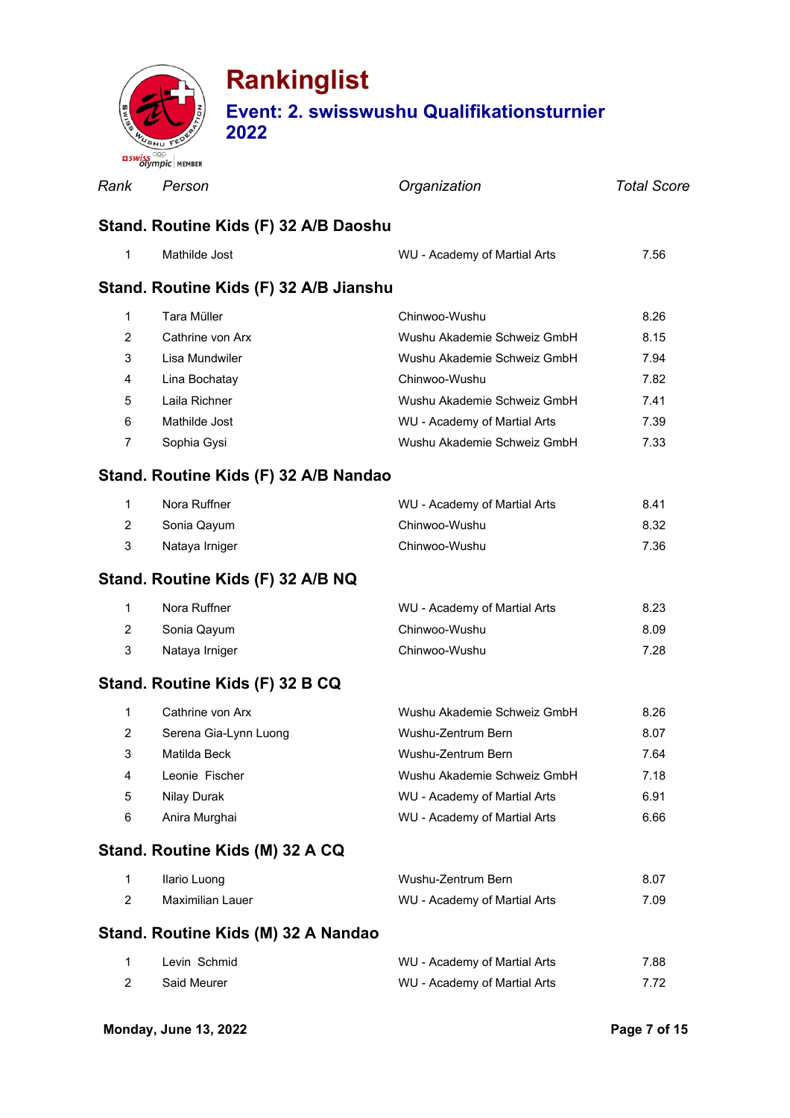

### **Rankinglist Event: 2. swisswushu Qualifikationsturnier**

*Rank Person Organization Total Score* **Stand. Routine Kids (F) 32 A/B Daoshu** Mathilde Jost WU - Academy of Martial Arts 7.56 **Stand. Routine Kids (F) 32 A/B Jianshu** Tara Müller Chinwoo-Wushu 8.26 Cathrine von Arx Wushu Akademie Schweiz GmbH 8.15 Lisa Mundwiler Wushu Akademie Schweiz GmbH 7.94 Lina Bochatay Chinwoo-Wushu 7.82 Laila Richner Wushu Akademie Schweiz GmbH 7.41 Mathilde Jost WU - Academy of Martial Arts 7.39 Sophia Gysi Wushu Akademie Schweiz GmbH 7.33 **Stand. Routine Kids (F) 32 A/B Nandao** 1 Nora Ruffner **Norman Communist Communist Communist Communist Communist Communist Communist Communist Communist Communist Communist Communist Communist Communist Communist Communist Communist Communist Communist Communist**  Sonia Qayum Chinwoo-Wushu 8.32 Nataya Irniger Chinwoo-Wushu 7.36 **Stand. Routine Kids (F) 32 A/B NQ** Nora Ruffner WU - Academy of Martial Arts 8.23 Sonia Qayum Chinwoo-Wushu 8.09 Nataya Irniger Chinwoo-Wushu 7.28

### **Stand. Routine Kids (F) 32 B CQ**

|                | Cathrine von Arx      | Wushu Akademie Schweiz GmbH  | 8.26 |
|----------------|-----------------------|------------------------------|------|
| 2              | Serena Gia-Lynn Luong | Wushu-Zentrum Bern           | 8.07 |
| 3              | Matilda Beck          | Wushu-Zentrum Bern           | 7.64 |
| $\overline{4}$ | Leonie Fischer        | Wushu Akademie Schweiz GmbH  | 7.18 |
| -5             | Nilay Durak           | WU - Academy of Martial Arts | 6.91 |
| 6              | Anira Murghai         | WU - Academy of Martial Arts | 6.66 |

### **Stand. Routine Kids (M) 32 A CQ**

| Ilario Luong                        | Wushu-Zentrum Bern           | 8.07 |
|-------------------------------------|------------------------------|------|
| Maximilian Lauer                    | WU - Academy of Martial Arts | 7.09 |
| Stand. Routine Kids (M) 32 A Nandao |                              |      |
| Louin Cohmid                        | MILL Acodemy of Mortial Arts | 700  |

| Levin Schmid       | VVU - Academy of Martial Arts | 00. / |
|--------------------|-------------------------------|-------|
| <b>Said Meurer</b> | WU - Academy of Martial Arts  | 7.72  |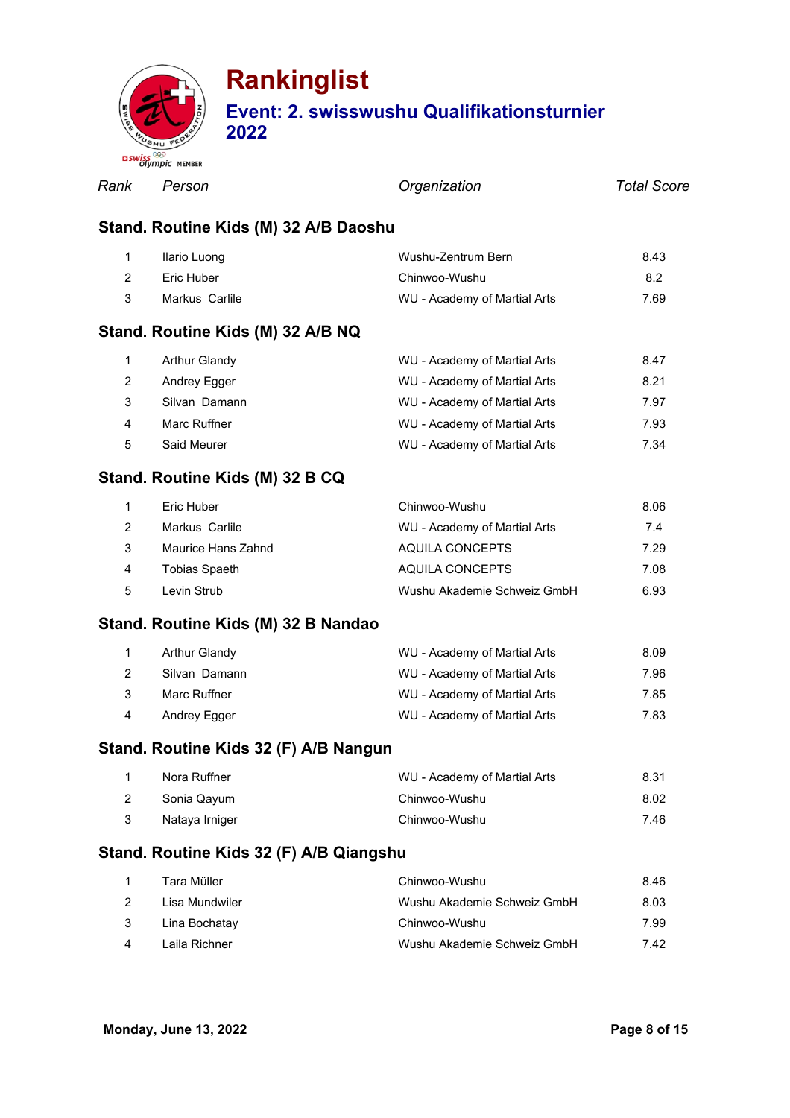

*Rank Person Organization Total Score*

#### **Stand. Routine Kids (M) 32 A/B Daoshu**

|   | Ilario Luong                      | Wushu-Zentrum Bern           | 8.43 |
|---|-----------------------------------|------------------------------|------|
|   | Eric Huber                        | Chinwoo-Wushu                | 8.2  |
| 3 | Markus Carlile                    | WU - Academy of Martial Arts | 7.69 |
|   | Stand. Routine Kids (M) 32 A/B NQ |                              |      |
|   | <b>Arthur Glandy</b>              | WU - Academy of Martial Arts | 8.47 |

|    |               |                              | .    |
|----|---------------|------------------------------|------|
|    | Andrey Egger  | WU - Academy of Martial Arts | 8.21 |
|    | Silvan Damann | WU - Academy of Martial Arts | 7.97 |
| 4  | Marc Ruffner  | WU - Academy of Martial Arts | 7.93 |
| -5 | Said Meurer   | WU - Academy of Martial Arts | 7.34 |

#### **Stand. Routine Kids (M) 32 B CQ**

|                | Eric Huber         | Chinwoo-Wushu                | 8.06 |
|----------------|--------------------|------------------------------|------|
| $\mathcal{P}$  | Markus Carlile     | WU - Academy of Martial Arts | 7.4  |
| 3              | Maurice Hans Zahnd | AQUILA CONCEPTS              | 7.29 |
| $\overline{4}$ | Tobias Spaeth      | AQUILA CONCEPTS              | 7.08 |
| $\overline{5}$ | Levin Strub        | Wushu Akademie Schweiz GmbH  | 6.93 |

#### **Stand. Routine Kids (M) 32 B Nandao**

|   | Arthur Glandy | WU - Academy of Martial Arts | 8.09 |
|---|---------------|------------------------------|------|
|   | Silvan Damann | WU - Academy of Martial Arts | 7.96 |
| 3 | Marc Ruffner  | WU - Academy of Martial Arts | 7.85 |
| 4 | Andrey Egger  | WU - Academy of Martial Arts | 7.83 |

#### **Stand. Routine Kids 32 (F) A/B Nangun**

| Nora Ruffner   | WU - Academy of Martial Arts | 8.31 |
|----------------|------------------------------|------|
| Sonia Qayum    | Chinwoo-Wushu                | 8.02 |
| Nataya Irniger | Chinwoo-Wushu                | 7.46 |

#### **Stand. Routine Kids 32 (F) A/B Qiangshu**

|          | Tara Müller    | Chinwoo-Wushu               | 8.46 |
|----------|----------------|-----------------------------|------|
| 2        | Lisa Mundwiler | Wushu Akademie Schweiz GmbH | 8.03 |
| -3       | Lina Bochatay  | Chinwoo-Wushu               | 7.99 |
| $\Delta$ | Laila Richner  | Wushu Akademie Schweiz GmbH | 7.42 |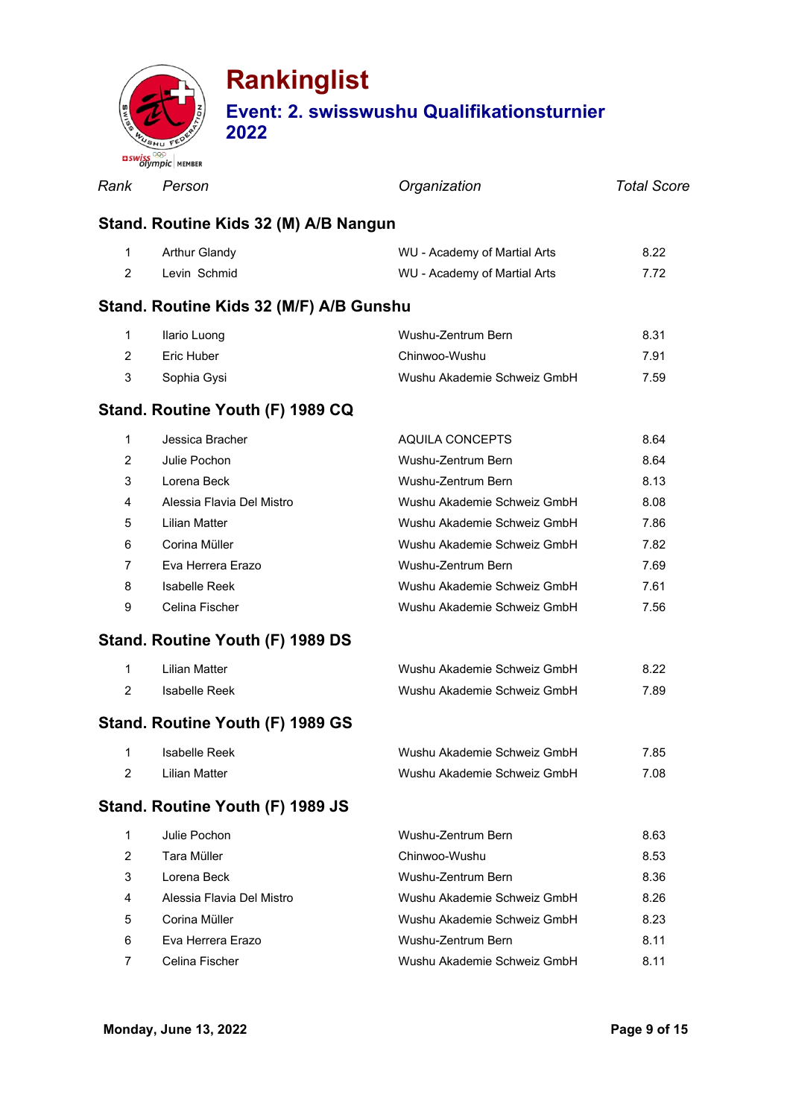

| Rank           | Person                                  | Organization                 | <b>Total Score</b> |  |  |  |
|----------------|-----------------------------------------|------------------------------|--------------------|--|--|--|
|                | Stand. Routine Kids 32 (M) A/B Nangun   |                              |                    |  |  |  |
| 1              | <b>Arthur Glandy</b>                    | WU - Academy of Martial Arts | 8.22               |  |  |  |
| 2              | Levin Schmid                            | WU - Academy of Martial Arts | 7.72               |  |  |  |
|                | Stand. Routine Kids 32 (M/F) A/B Gunshu |                              |                    |  |  |  |
| 1              | Ilario Luong                            | Wushu-Zentrum Bern           | 8.31               |  |  |  |
| 2              | Eric Huber                              | Chinwoo-Wushu                | 7.91               |  |  |  |
| 3              | Sophia Gysi                             | Wushu Akademie Schweiz GmbH  | 7.59               |  |  |  |
|                | Stand. Routine Youth (F) 1989 CQ        |                              |                    |  |  |  |
| 1              | Jessica Bracher                         | AQUILA CONCEPTS              | 8.64               |  |  |  |
| $\overline{2}$ | Julie Pochon                            | Wushu-Zentrum Bern           | 8.64               |  |  |  |
| 3              | Lorena Beck                             | Wushu-Zentrum Bern           | 8.13               |  |  |  |
| 4              | Alessia Flavia Del Mistro               | Wushu Akademie Schweiz GmbH  | 8.08               |  |  |  |
| 5              | Lilian Matter                           | Wushu Akademie Schweiz GmbH  | 7.86               |  |  |  |
| 6              | Corina Müller                           | Wushu Akademie Schweiz GmbH  | 7.82               |  |  |  |
| 7              | Eva Herrera Erazo                       | Wushu-Zentrum Bern           | 7.69               |  |  |  |
| 8              | Isabelle Reek                           | Wushu Akademie Schweiz GmbH  | 7.61               |  |  |  |
| 9              | Celina Fischer                          | Wushu Akademie Schweiz GmbH  | 7.56               |  |  |  |
|                | Stand. Routine Youth (F) 1989 DS        |                              |                    |  |  |  |
| $\mathbf 1$    | <b>Lilian Matter</b>                    | Wushu Akademie Schweiz GmbH  | 8.22               |  |  |  |
| 2              | Isabelle Reek                           | Wushu Akademie Schweiz GmbH  | 7.89               |  |  |  |
|                | Stand. Routine Youth (F) 1989 GS        |                              |                    |  |  |  |
| 1              | Isabelle Reek                           | Wushu Akademie Schweiz GmbH  | 7.85               |  |  |  |
| $\overline{2}$ | <b>Lilian Matter</b>                    | Wushu Akademie Schweiz GmbH  | 7.08               |  |  |  |
|                | Stand. Routine Youth (F) 1989 JS        |                              |                    |  |  |  |
| 1              | Julie Pochon                            | Wushu-Zentrum Bern           | 8.63               |  |  |  |
| $\overline{2}$ | Tara Müller                             | Chinwoo-Wushu                | 8.53               |  |  |  |
| 3              | Lorena Beck                             | Wushu-Zentrum Bern           | 8.36               |  |  |  |
| 4              | Alessia Flavia Del Mistro               | Wushu Akademie Schweiz GmbH  | 8.26               |  |  |  |
| 5              | Corina Müller                           | Wushu Akademie Schweiz GmbH  | 8.23               |  |  |  |
| 6              | Eva Herrera Erazo                       | Wushu-Zentrum Bern           | 8.11               |  |  |  |
| 7              | Celina Fischer                          | Wushu Akademie Schweiz GmbH  | 8.11               |  |  |  |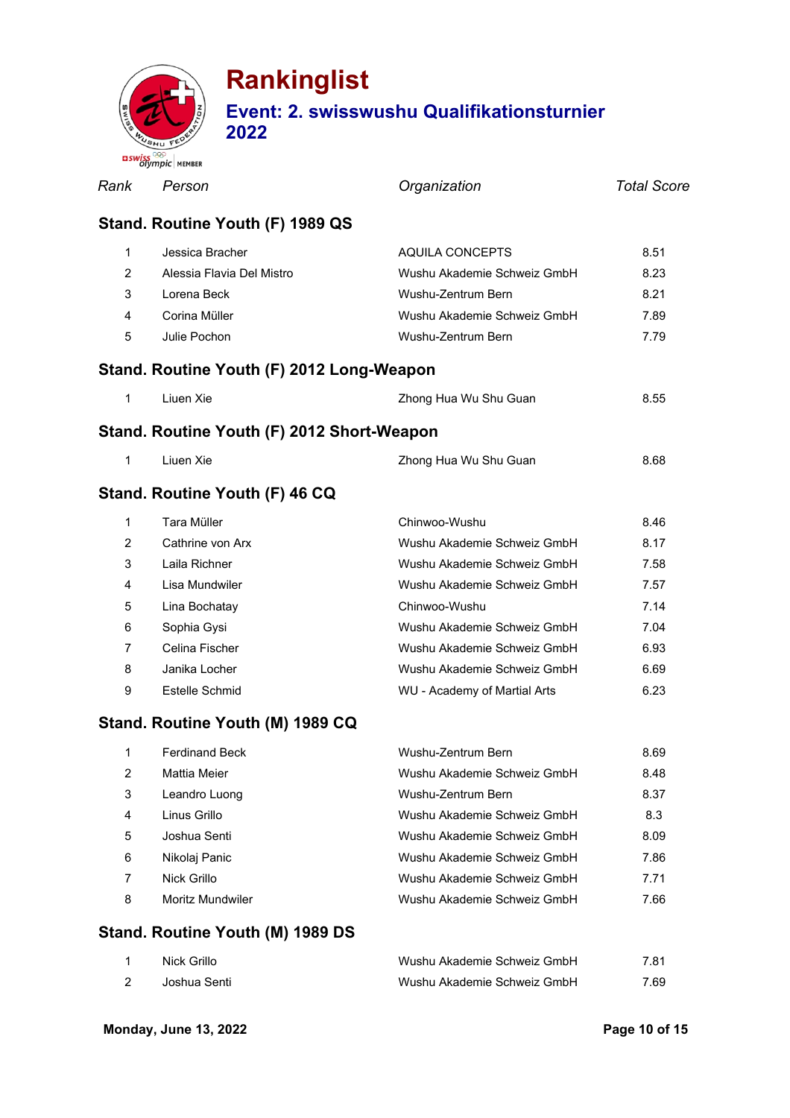

### **Rankinglist Event: 2. swisswushu Qualifikationsturnier 2022**

|                | <b>Olympic</b> MEMBER                      |                             |             |
|----------------|--------------------------------------------|-----------------------------|-------------|
| Rank           | Person                                     | Organization                | Total Score |
|                | Stand. Routine Youth (F) 1989 QS           |                             |             |
| 1              | Jessica Bracher                            | AQUILA CONCEPTS             | 8.51        |
| $\overline{2}$ | Alessia Flavia Del Mistro                  | Wushu Akademie Schweiz GmbH | 8.23        |
| 3              | Lorena Beck                                | Wushu-Zentrum Bern          | 8.21        |
| 4              | Corina Müller                              | Wushu Akademie Schweiz GmbH | 7.89        |
| 5              | Julie Pochon                               | Wushu-Zentrum Bern          | 7.79        |
|                | Stand. Routine Youth (F) 2012 Long-Weapon  |                             |             |
| $\mathbf{1}$   | Liuen Xie                                  | Zhong Hua Wu Shu Guan       | 8.55        |
|                | Stand. Routine Youth (F) 2012 Short-Weapon |                             |             |
| 1              | Liuen Xie                                  | Zhong Hua Wu Shu Guan       | 8.68        |
|                | Stand. Routine Youth (F) 46 CQ             |                             |             |
| $\mathbf 1$    | Tara Müller                                | Chinwoo-Wushu               | 8.46        |
| $\overline{2}$ | Cathrine von Arx                           | Wushu Akademie Schweiz GmbH | 8.17        |
| 3              | Laila Richner                              | Wushu Akademie Schweiz GmbH | 7.58        |
| 4              | Lisa Mundwiler                             | Wushu Akademie Schweiz GmbH | 7.57        |
| 5              | Lina Bochatay                              | Chinwoo-Wushu               | 7.14        |
| 6              | Sophia Gysi                                | Wushu Akademie Schweiz GmbH | 7.04        |
| $\overline{7}$ | Celina Fischer                             | Wushu Akademie Schweiz GmbH | 6.93        |

### **Stand. Routine Youth (I)**

| Stand. Routine Youth (M) 1989 CQ |  |  |
|----------------------------------|--|--|
|                                  |  |  |

|   | <b>Ferdinand Beck</b> | Wushu-Zentrum Bern          | 8.69 |
|---|-----------------------|-----------------------------|------|
| 2 | Mattia Meier          | Wushu Akademie Schweiz GmbH | 8.48 |
| 3 | Leandro Luong         | Wushu-Zentrum Bern          | 8.37 |
| 4 | Linus Grillo          | Wushu Akademie Schweiz GmbH | 8.3  |
| 5 | Joshua Senti.         | Wushu Akademie Schweiz GmbH | 8.09 |
| 6 | Nikolaj Panic         | Wushu Akademie Schweiz GmbH | 7.86 |
|   | Nick Grillo           | Wushu Akademie Schweiz GmbH | 7.71 |
| 8 | Moritz Mundwiler      | Wushu Akademie Schweiz GmbH | 7.66 |

8 Janika Locher Wushu Akademie Schweiz GmbH 6.69 9 Estelle Schmid WU - Academy of Martial Arts 6.23

#### **Stand. Routine Youth (M) 1989 DS**

| Nick Grillo  | Wushu Akademie Schweiz GmbH | 7.81 |
|--------------|-----------------------------|------|
| Joshua Senti | Wushu Akademie Schweiz GmbH | 7.69 |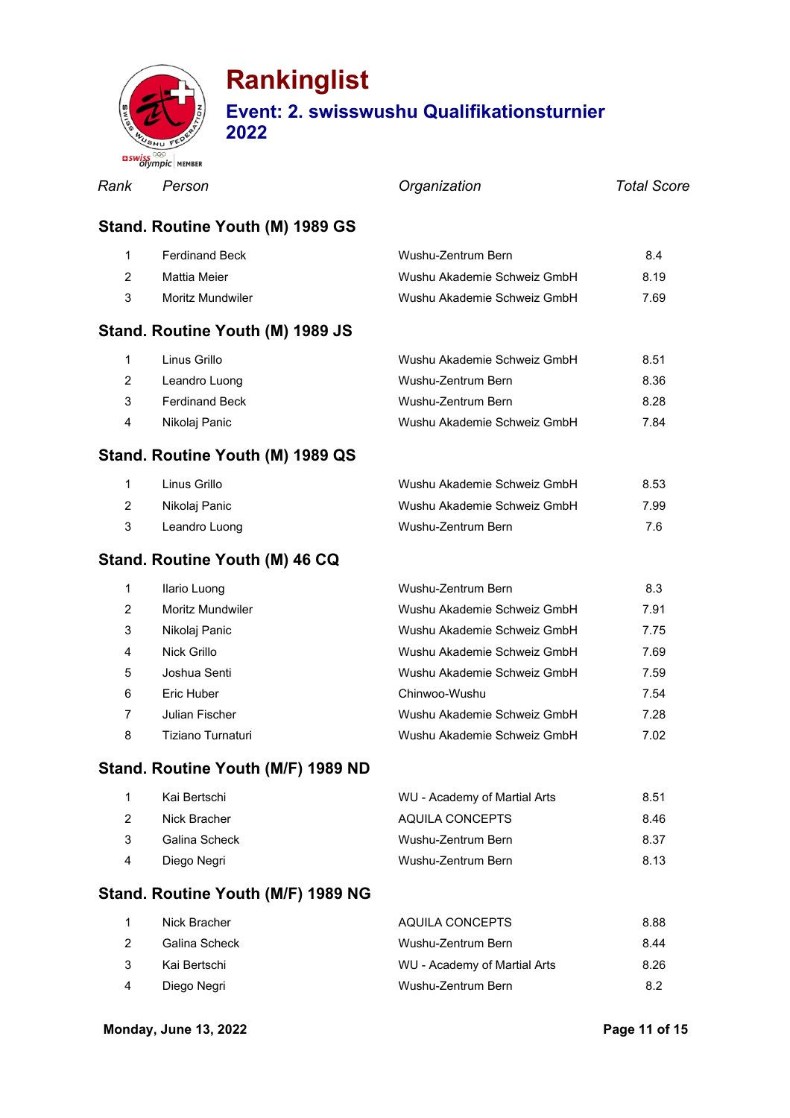

| Rank           | Person                             | Organization                | <b>Total Score</b> |
|----------------|------------------------------------|-----------------------------|--------------------|
|                | Stand. Routine Youth (M) 1989 GS   |                             |                    |
| 1              | <b>Ferdinand Beck</b>              | Wushu-Zentrum Bern          | 8.4                |
| $\overline{2}$ | <b>Mattia Meier</b>                | Wushu Akademie Schweiz GmbH | 8.19               |
| 3              | Moritz Mundwiler                   | Wushu Akademie Schweiz GmbH | 7.69               |
|                | Stand. Routine Youth (M) 1989 JS   |                             |                    |
| $\mathbf 1$    | Linus Grillo                       | Wushu Akademie Schweiz GmbH | 8.51               |
| $\overline{2}$ | Leandro Luong                      | Wushu-Zentrum Bern          | 8.36               |
| 3              | <b>Ferdinand Beck</b>              | Wushu-Zentrum Bern          | 8.28               |
| 4              | Nikolaj Panic                      | Wushu Akademie Schweiz GmbH | 7.84               |
|                | Stand. Routine Youth (M) 1989 QS   |                             |                    |
| 1              | Linus Grillo                       | Wushu Akademie Schweiz GmbH | 8.53               |
| $\overline{2}$ | Nikolaj Panic                      | Wushu Akademie Schweiz GmbH | 7.99               |
| 3              | Leandro Luong                      | Wushu-Zentrum Bern          | 7.6                |
|                | Stand. Routine Youth (M) 46 CQ     |                             |                    |
| 1              | Ilario Luong                       | Wushu-Zentrum Bern          | 8.3                |
| $\overline{2}$ | Moritz Mundwiler                   | Wushu Akademie Schweiz GmbH | 7.91               |
| 3              | Nikolaj Panic                      | Wushu Akademie Schweiz GmbH | 7.75               |
| 4              | Nick Grillo                        | Wushu Akademie Schweiz GmbH | 7.69               |
| 5              | Joshua Senti                       | Wushu Akademie Schweiz GmbH | 7.59               |
| 6              | Eric Huber                         | Chinwoo-Wushu               | 7.54               |
| 7              | Julian Fischer                     | Wushu Akademie Schweiz GmbH | 7.28               |
| 8              | Tiziano Turnaturi                  | Wushu Akademie Schweiz GmbH | 7.02               |
|                | Stand. Routine Youth (M/F) 1989 ND |                             |                    |

### **Stand**

|               | Kai Bertschi  | WU - Academy of Martial Arts | 8.51 |
|---------------|---------------|------------------------------|------|
|               | Nick Bracher  | AQUILA CONCEPTS              | 8.46 |
| $\mathcal{B}$ | Galina Scheck | Wushu-Zentrum Bern           | 8.37 |
| 4             | Diego Negri   | Wushu-Zentrum Bern           | 8.13 |

#### **Stand. Routine Youth (M/F) 1989 NG**

|                | Nick Bracher  | AQUILA CONCEPTS              | 8.88 |
|----------------|---------------|------------------------------|------|
| $\mathcal{P}$  | Galina Scheck | Wushu-Zentrum Bern           | 8.44 |
| 3              | Kai Bertschi  | WU - Academy of Martial Arts | 8.26 |
| $\overline{4}$ | Diego Negri   | Wushu-Zentrum Bern           | 8.2  |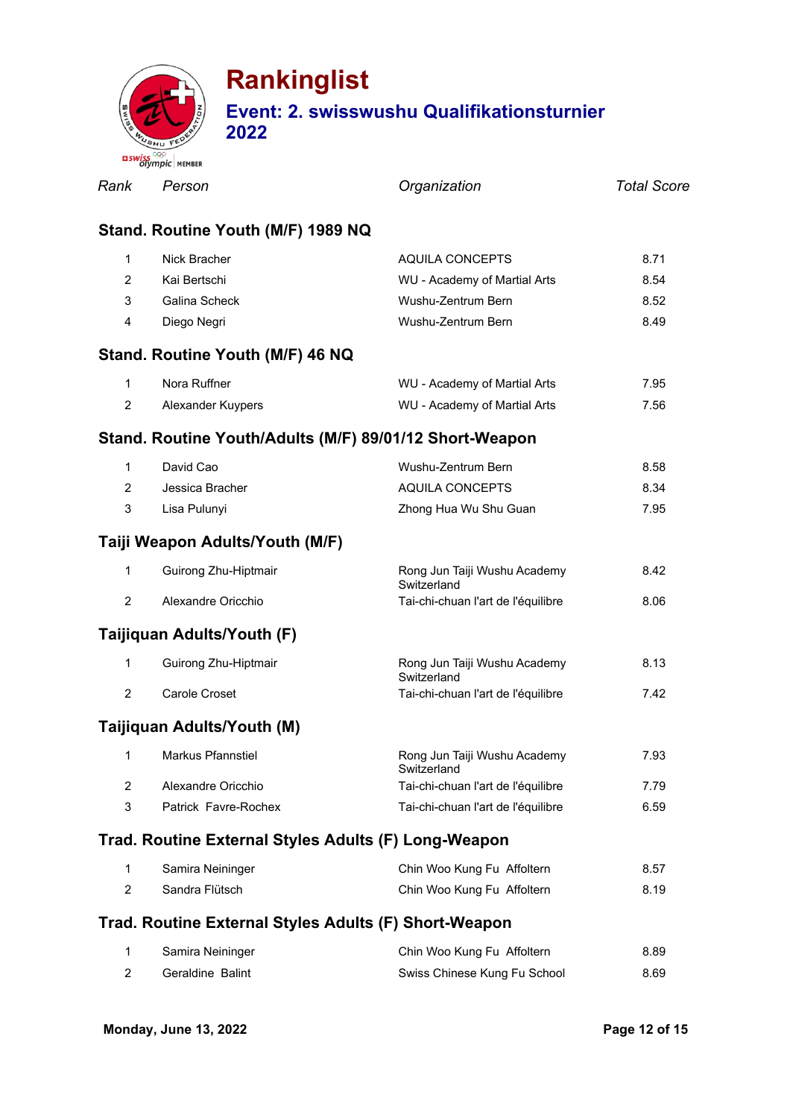

|                | <b>BSWISSTER</b> MEMBER                               |                                                         |                    |
|----------------|-------------------------------------------------------|---------------------------------------------------------|--------------------|
| Rank           | Person                                                | Organization                                            | <b>Total Score</b> |
|                | Stand. Routine Youth (M/F) 1989 NQ                    |                                                         |                    |
| $\mathbf{1}$   | Nick Bracher                                          | AQUILA CONCEPTS                                         | 8.71               |
| $\overline{2}$ | Kai Bertschi                                          | WU - Academy of Martial Arts                            | 8.54               |
| 3              | Galina Scheck                                         | Wushu-Zentrum Bern                                      | 8.52               |
| 4              | Diego Negri                                           | Wushu-Zentrum Bern                                      | 8.49               |
|                | Stand. Routine Youth (M/F) 46 NQ                      |                                                         |                    |
| $\mathbf{1}$   | Nora Ruffner                                          | WU - Academy of Martial Arts                            | 7.95               |
| $\overline{2}$ | Alexander Kuypers                                     | WU - Academy of Martial Arts                            | 7.56               |
|                |                                                       | Stand. Routine Youth/Adults (M/F) 89/01/12 Short-Weapon |                    |
| $\mathbf{1}$   | David Cao                                             | Wushu-Zentrum Bern                                      | 8.58               |
| $\overline{2}$ | Jessica Bracher                                       | AQUILA CONCEPTS                                         | 8.34               |
| 3              | Lisa Pulunyi                                          | Zhong Hua Wu Shu Guan                                   | 7.95               |
|                | Taiji Weapon Adults/Youth (M/F)                       |                                                         |                    |
| 1              | Guirong Zhu-Hiptmair                                  | Rong Jun Taiji Wushu Academy<br>Switzerland             | 8.42               |
| $\overline{2}$ | Alexandre Oricchio                                    | Tai-chi-chuan l'art de l'équilibre                      | 8.06               |
|                | Taijiquan Adults/Youth (F)                            |                                                         |                    |
| 1              | Guirong Zhu-Hiptmair                                  | Rong Jun Taiji Wushu Academy<br>Switzerland             | 8.13               |
| $\overline{2}$ | Carole Croset                                         | Tai-chi-chuan l'art de l'équilibre                      | 7.42               |
|                | Taijiquan Adults/Youth (M)                            |                                                         |                    |
| $\mathbf{1}$   | Markus Pfannstiel                                     | Rong Jun Taiji Wushu Academy<br>Switzerland             | 7.93               |
| $\overline{2}$ | Alexandre Oricchio                                    | Tai-chi-chuan l'art de l'équilibre                      | 7.79               |
| 3              | Patrick Favre-Rochex                                  | Tai-chi-chuan l'art de l'équilibre                      | 6.59               |
|                | Trad. Routine External Styles Adults (F) Long-Weapon  |                                                         |                    |
| 1              | Samira Neininger                                      | Chin Woo Kung Fu Affoltern                              | 8.57               |
| $\overline{2}$ | Sandra Flütsch                                        | Chin Woo Kung Fu Affoltern                              | 8.19               |
|                | Trad. Routine External Styles Adults (F) Short-Weapon |                                                         |                    |
| 1              | Samira Neininger                                      | Chin Woo Kung Fu Affoltern                              | 8.89               |
| $\overline{2}$ | Geraldine Balint                                      | Swiss Chinese Kung Fu School                            | 8.69               |
|                |                                                       |                                                         |                    |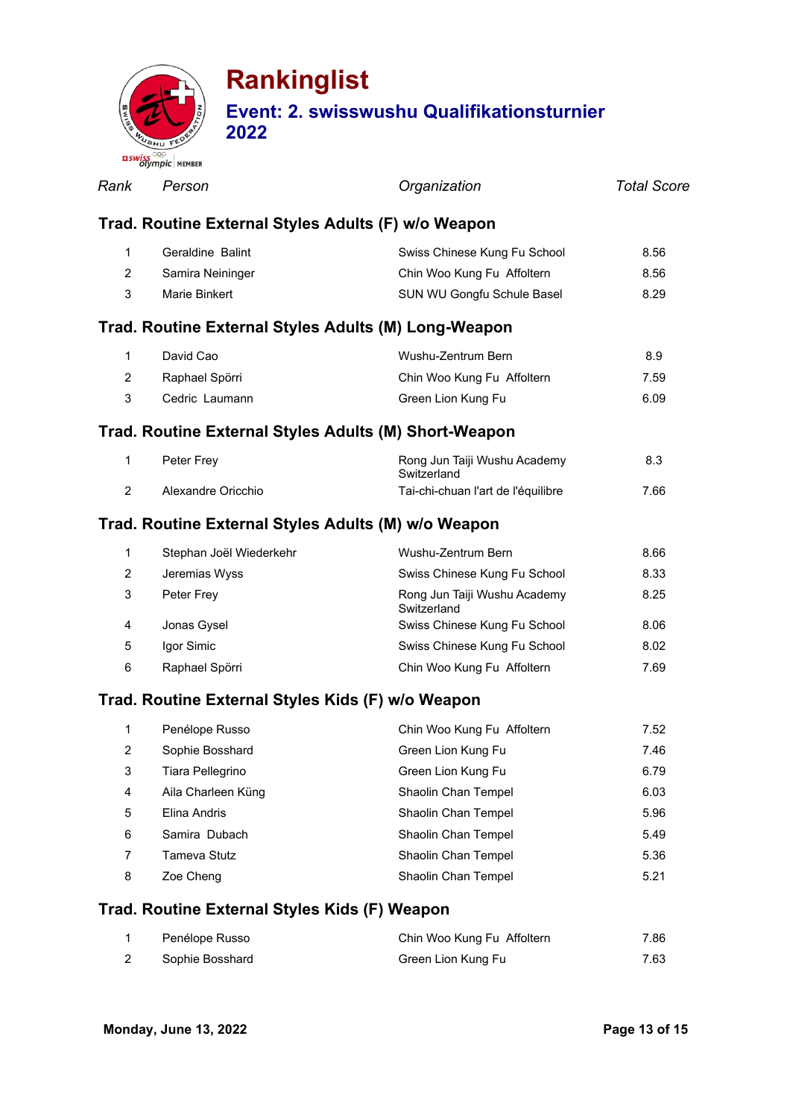

|                | <b>BISWISHING</b> MEMBER                              |                                             |                    |
|----------------|-------------------------------------------------------|---------------------------------------------|--------------------|
| Rank           | Person                                                | Organization                                | <b>Total Score</b> |
|                | Trad. Routine External Styles Adults (F) w/o Weapon   |                                             |                    |
| 1              | Geraldine Balint                                      | Swiss Chinese Kung Fu School                | 8.56               |
| $\overline{2}$ | Samira Neininger                                      | Chin Woo Kung Fu Affoltern                  | 8.56               |
| 3              | Marie Binkert                                         | SUN WU Gongfu Schule Basel                  | 8.29               |
|                | Trad. Routine External Styles Adults (M) Long-Weapon  |                                             |                    |
| 1              | David Cao                                             | Wushu-Zentrum Bern                          | 8.9                |
| 2              | Raphael Spörri                                        | Chin Woo Kung Fu Affoltern                  | 7.59               |
| 3              | Cedric Laumann                                        | Green Lion Kung Fu                          | 6.09               |
|                | Trad. Routine External Styles Adults (M) Short-Weapon |                                             |                    |
| 1              | Peter Frey                                            | Rong Jun Taiji Wushu Academy<br>Switzerland | 8.3                |
| 2              | Alexandre Oricchio                                    | Tai-chi-chuan l'art de l'équilibre          | 7.66               |
|                | Trad. Routine External Styles Adults (M) w/o Weapon   |                                             |                    |
| 1              | Stephan Joël Wiederkehr                               | Wushu-Zentrum Bern                          | 8.66               |
| 2              | Jeremias Wyss                                         | Swiss Chinese Kung Fu School                | 8.33               |
| 3              | Peter Frey                                            | Rong Jun Taiji Wushu Academy<br>Switzerland | 8.25               |
| 4              | Jonas Gysel                                           | Swiss Chinese Kung Fu School                | 8.06               |
| 5              | Igor Simic                                            | Swiss Chinese Kung Fu School                | 8.02               |
| 6              | Raphael Spörri                                        | Chin Woo Kung Fu Affoltern                  | 7.69               |
|                | Trad. Routine External Styles Kids (F) w/o Weapon     |                                             |                    |
| 1              | Penélope Russo                                        | Chin Woo Kung Fu Affoltern                  | 7.52               |
| 2              | Sophie Bosshard                                       | Green Lion Kung Fu                          | 7.46               |
| 3              | Tiara Pellegrino                                      | Green Lion Kung Fu                          | 6.79               |
| 4              | Aila Charleen Küng                                    | Shaolin Chan Tempel                         | 6.03               |
| 5              | Elina Andris                                          | Shaolin Chan Tempel                         | 5.96               |
| 6              | Samira Dubach                                         | Shaolin Chan Tempel                         | 5.49               |

7 Tameva Stutz **Shaolin Chan Tempel** 5.36 8 Zoe Cheng Shaolin Chan Tempel 5.21

#### **Trad. Routine External Styles Kids (F) Weapon**

| Penélope Russo  | Chin Woo Kung Fu Affoltern | 7.86 |
|-----------------|----------------------------|------|
| Sophie Bosshard | Green Lion Kung Fu         | 7.63 |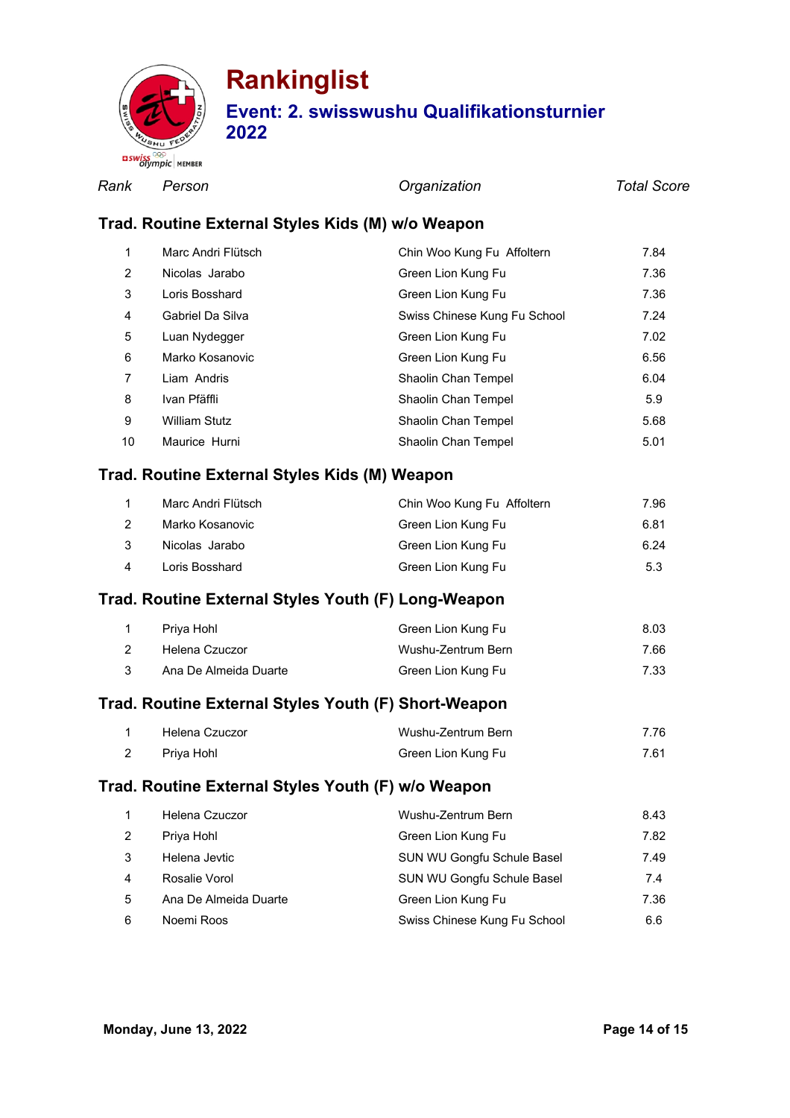

*Rank Person Organization Total Score*

#### **Trad. Routine External Styles Kids (M) w/o Weapon**

| $\mathbf 1$ | Marc Andri Flütsch   | Chin Woo Kung Fu Affoltern   | 7.84 |
|-------------|----------------------|------------------------------|------|
| 2           | Nicolas Jarabo       | Green Lion Kung Fu           | 7.36 |
| 3           | Loris Bosshard       | Green Lion Kung Fu           | 7.36 |
| 4           | Gabriel Da Silva     | Swiss Chinese Kung Fu School | 7.24 |
| 5           | Luan Nydegger        | Green Lion Kung Fu           | 7.02 |
| 6           | Marko Kosanovic      | Green Lion Kung Fu           | 6.56 |
| 7           | Liam Andris          | Shaolin Chan Tempel          | 6.04 |
| 8           | Ivan Pfäffli         | Shaolin Chan Tempel          | 5.9  |
| 9           | <b>William Stutz</b> | Shaolin Chan Tempel          | 5.68 |
| 10          | Maurice Hurni        | Shaolin Chan Tempel          | 5.01 |

#### **Trad. Routine External Styles Kids (M) Weapon**

|   | Marc Andri Flütsch | Chin Woo Kung Fu Affoltern | 7.96 |
|---|--------------------|----------------------------|------|
|   | Marko Kosanovic    | Green Lion Kung Fu         | 6.81 |
|   | Nicolas Jarabo     | Green Lion Kung Fu         | 6.24 |
| 4 | Loris Bosshard     | Green Lion Kung Fu         | 5.3  |

#### **Trad. Routine External Styles Youth (F) Long-Weapon**

| Priva Hohl            | Green Lion Kung Fu | 8.03 |
|-----------------------|--------------------|------|
| Helena Czuczor        | Wushu-Zentrum Bern | 7.66 |
| Ana De Almeida Duarte | Green Lion Kung Fu | 7.33 |

#### **Trad. Routine External Styles Youth (F) Short-Weapon**

| Helena Czuczor | Wushu-Zentrum Bern | 7.76 |
|----------------|--------------------|------|
| Priya Hohl     | Green Lion Kung Fu | 7.61 |

#### **Trad. Routine External Styles Youth (F) w/o Weapon**

|   | Helena Czuczor        | Wushu-Zentrum Bern           | 8.43 |
|---|-----------------------|------------------------------|------|
| 2 | Priya Hohl            | Green Lion Kung Fu           | 7.82 |
| 3 | Helena Jevtic         | SUN WU Gongfu Schule Basel   | 7.49 |
| 4 | Rosalie Vorol         | SUN WU Gongfu Schule Basel   | 7.4  |
| 5 | Ana De Almeida Duarte | Green Lion Kung Fu           | 7.36 |
| 6 | Noemi Roos            | Swiss Chinese Kung Fu School | 6.6  |